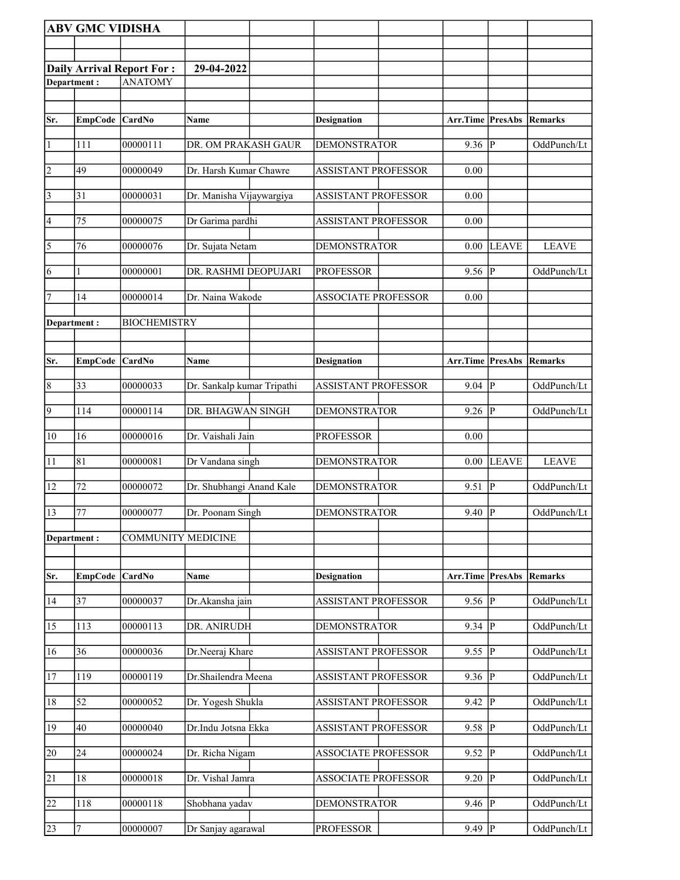|                       | <b>ABV GMC VIDISHA</b> |                                  |                            |                            |                     |                |                |
|-----------------------|------------------------|----------------------------------|----------------------------|----------------------------|---------------------|----------------|----------------|
|                       |                        |                                  |                            |                            |                     |                |                |
|                       |                        | <b>Daily Arrival Report For:</b> | 29-04-2022                 |                            |                     |                |                |
| Department:           |                        | <b>ANATOMY</b>                   |                            |                            |                     |                |                |
|                       |                        |                                  |                            |                            |                     |                |                |
| Sr.                   | <b>EmpCode</b>         | CardNo                           | Name                       | <b>Designation</b>         | Arr.Time PresAbs    |                | <b>Remarks</b> |
| $\vert$ 1             | 111                    | 00000111                         | DR. OM PRAKASH GAUR        | <b>DEMONSTRATOR</b>        | $9.36$ P            |                | OddPunch/Lt    |
| $\vert$ 2             | 49                     | 00000049                         | Dr. Harsh Kumar Chawre     | <b>ASSISTANT PROFESSOR</b> | 0.00                |                |                |
| $\vert$ 3             | 31                     | 00000031                         | Dr. Manisha Vijaywargiya   | <b>ASSISTANT PROFESSOR</b> | 0.00                |                |                |
| 4                     | 75                     | 00000075                         | Dr Garima pardhi           | <b>ASSISTANT PROFESSOR</b> | 0.00                |                |                |
| $\overline{\sqrt{5}}$ | 76                     | 00000076                         | Dr. Sujata Netam           | <b>DEMONSTRATOR</b>        | $0.00\,$            | <b>LEAVE</b>   | <b>LEAVE</b>   |
| 6                     |                        | 00000001                         | DR. RASHMI DEOPUJARI       | <b>PROFESSOR</b>           | 9.56                | P              | OddPunch/Lt    |
| 7                     | 14                     | 00000014                         | Dr. Naina Wakode           | <b>ASSOCIATE PROFESSOR</b> | 0.00                |                |                |
| Department:           |                        | <b>BIOCHEMISTRY</b>              |                            |                            |                     |                |                |
|                       |                        |                                  |                            |                            |                     |                |                |
| Sr.                   | <b>EmpCode</b>         | CardNo                           | Name                       | <b>Designation</b>         | Arr.Time PresAbs    |                | <b>Remarks</b> |
| $\vert 8$             | 33                     | 00000033                         | Dr. Sankalp kumar Tripathi | <b>ASSISTANT PROFESSOR</b> | 9.04                | P              | OddPunch/Lt    |
| $\overline{9}$        | 114                    | 00000114                         | DR. BHAGWAN SINGH          | <b>DEMONSTRATOR</b>        | $9.26 \overline{P}$ |                | OddPunch/Lt    |
| 10                    | 16                     | 00000016                         | Dr. Vaishali Jain          | <b>PROFESSOR</b>           | 0.00                |                |                |
| 11                    | 81                     | 00000081                         | Dr Vandana singh           | <b>DEMONSTRATOR</b>        |                     | $0.00$ LEAVE   | <b>LEAVE</b>   |
| 12                    | 72                     | 00000072                         | Dr. Shubhangi Anand Kale   | <b>DEMONSTRATOR</b>        | 9.51                | ∣P             | OddPunch/Lt    |
| 13                    | 77                     | 00000077                         | Dr. Poonam Singh           | <b>DEMONSTRATOR</b>        | $9.40 \vert P$      |                | OddPunch/Lt    |
| Department:           |                        | <b>COMMUNITY MEDICINE</b>        |                            |                            |                     |                |                |
|                       |                        |                                  |                            |                            |                     |                |                |
| Sr.                   | <b>EmpCode</b>         | CardNo                           | Name                       | <b>Designation</b>         | Arr.Time PresAbs    |                | <b>Remarks</b> |
| 14                    | 37                     | 00000037                         | Dr.Akansha jain            | <b>ASSISTANT PROFESSOR</b> | 9.56  P             |                | OddPunch/Lt    |
| 15                    | 113                    | 00000113                         | DR. ANIRUDH                | <b>DEMONSTRATOR</b>        | 9.34                | lР             | OddPunch/Lt    |
| 16                    | 36                     | 00000036                         | Dr.Neeraj Khare            | <b>ASSISTANT PROFESSOR</b> | 9.55                | P              | OddPunch/Lt    |
| <sup>17</sup>         | 119                    | 00000119                         | Dr.Shailendra Meena        | <b>ASSISTANT PROFESSOR</b> | 9.36                | P              | OddPunch/Lt    |
| 18                    | 52                     | 00000052                         | Dr. Yogesh Shukla          | ASSISTANT PROFESSOR        | 9.42                | <sup> </sup> P | OddPunch/Lt    |
| 19                    | 40                     | 00000040                         | Dr.Indu Jotsna Ekka        | <b>ASSISTANT PROFESSOR</b> | 9.58                | P              | OddPunch/Lt    |
| 20                    | 24                     | 00000024                         | Dr. Richa Nigam            | <b>ASSOCIATE PROFESSOR</b> | 9.52                | P              | OddPunch/Lt    |
| $\overline{21}$       | 18                     | 00000018                         | Dr. Vishal Jamra           | <b>ASSOCIATE PROFESSOR</b> | 9.20                | P              | OddPunch/Lt    |
| 22                    | 118                    | 00000118                         | Shobhana yadav             | <b>DEMONSTRATOR</b>        | 9.46                | P              | OddPunch/Lt    |
| 23                    | 7                      | 00000007                         | Dr Sanjay agarawal         | <b>PROFESSOR</b>           | $9.49$ P            |                | OddPunch/Lt    |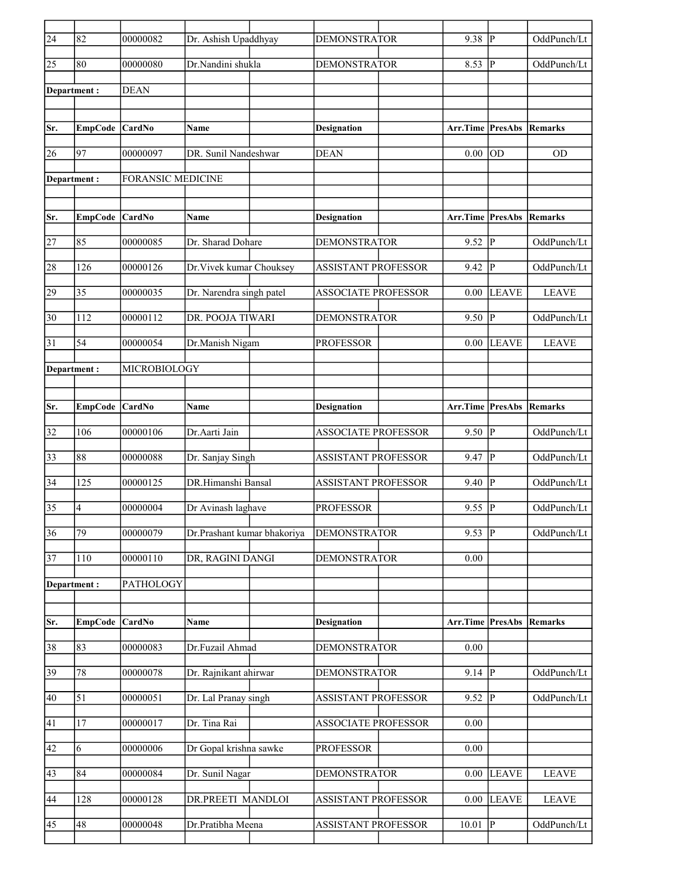| $\overline{24}$ | 82             | 00000082                 | Dr. Ashish Upaddhyay        | <b>DEMONSTRATOR</b>        | 9.38                    | P            | OddPunch/Lt    |
|-----------------|----------------|--------------------------|-----------------------------|----------------------------|-------------------------|--------------|----------------|
| 25              | 80             | 00000080                 | Dr.Nandini shukla           | <b>DEMONSTRATOR</b>        | 8.53                    | P            | OddPunch/Lt    |
| Department:     |                | <b>DEAN</b>              |                             |                            |                         |              |                |
|                 |                |                          |                             |                            |                         |              |                |
| Sr.             | <b>EmpCode</b> | CardNo                   | Name                        | <b>Designation</b>         | Arr.Time PresAbs        |              | Remarks        |
| 26              | 97             | 00000097                 | DR. Sunil Nandeshwar        | <b>DEAN</b>                | 0.00                    | lod          | <b>OD</b>      |
| Department :    |                | <b>FORANSIC MEDICINE</b> |                             |                            |                         |              |                |
| Sr.             | <b>EmpCode</b> | CardNo                   | Name                        | <b>Designation</b>         | <b>Arr.Time PresAbs</b> |              | Remarks        |
| 27              | 85             | 00000085                 | Dr. Sharad Dohare           | <b>DEMONSTRATOR</b>        | $9.52$ $ \overline{P} $ |              | OddPunch/Lt    |
| 28              | 126            | 00000126                 | Dr. Vivek kumar Chouksey    | <b>ASSISTANT PROFESSOR</b> | 9.42                    | lр           | OddPunch/Lt    |
| 29              | 35             | 00000035                 | Dr. Narendra singh patel    | <b>ASSOCIATE PROFESSOR</b> | 0.00                    | <b>LEAVE</b> | <b>LEAVE</b>   |
|                 |                |                          |                             |                            |                         |              |                |
| 30              | 112            | 00000112                 | DR. POOJA TIWARI            | <b>DEMONSTRATOR</b>        | 9.50                    | P            | OddPunch/Lt    |
| 31              | 54             | 00000054                 | Dr.Manish Nigam             | <b>PROFESSOR</b>           | 0.00                    | <b>LEAVE</b> | <b>LEAVE</b>   |
| Department :    |                | MICROBIOLOGY             |                             |                            |                         |              |                |
|                 |                |                          |                             |                            |                         |              |                |
| Sr.             | <b>EmpCode</b> | CardNo                   | Name                        | <b>Designation</b>         | Arr.Time PresAbs        |              | Remarks        |
| 32              | 106            | 00000106                 | Dr.Aarti Jain               | <b>ASSOCIATE PROFESSOR</b> | $9.50 \vert P$          |              | OddPunch/Lt    |
| 33              | 88             | 00000088                 | Dr. Sanjay Singh            | <b>ASSISTANT PROFESSOR</b> | $9.47$ $\overline{P}$   |              | OddPunch/Lt    |
| 34              | 125            | 00000125                 | DR.Himanshi Bansal          | <b>ASSISTANT PROFESSOR</b> | 9.40                    | lР           | OddPunch/Lt    |
| $\overline{35}$ | $\overline{4}$ | 00000004                 | Dr Avinash laghave          | <b>PROFESSOR</b>           | 9.55                    | P            | OddPunch/Lt    |
| 36              | 79             | 00000079                 | Dr.Prashant kumar bhakoriya | <b>DEMONSTRATOR</b>        | $9.53$ P                |              | OddPunch/Lt    |
| 37              | 110            | 00000110                 | DR, RAGINI DANGI            | <b>DEMONSTRATOR</b>        | 0.00                    |              |                |
| Department:     |                | PATHOLOGY                |                             |                            |                         |              |                |
|                 |                |                          |                             |                            |                         |              |                |
| Sr.             | <b>EmpCode</b> | CardNo                   | Name                        | <b>Designation</b>         | Arr.Time PresAbs        |              | <b>Remarks</b> |
| 38              | 83             | 00000083                 | Dr.Fuzail Ahmad             | DEMONSTRATOR               | 0.00                    |              |                |
| $ 39\rangle$    | 78             | 00000078                 | Dr. Rajnikant ahirwar       | <b>DEMONSTRATOR</b>        | $9.14$ P                |              | OddPunch/Lt    |
| 40              | 51             | 00000051                 | Dr. Lal Pranay singh        | <b>ASSISTANT PROFESSOR</b> | 9.52   P                |              | OddPunch/Lt    |
| 41              | 17             | 00000017                 | Dr. Tina Rai                | <b>ASSOCIATE PROFESSOR</b> | 0.00                    |              |                |
| 42              | 6              | 00000006                 | Dr Gopal krishna sawke      | <b>PROFESSOR</b>           | 0.00                    |              |                |
| 43              | 84             | 00000084                 | Dr. Sunil Nagar             | <b>DEMONSTRATOR</b>        |                         | $0.00$ LEAVE | <b>LEAVE</b>   |
| 44              | 128            | 00000128                 | DR.PREETI MANDLOI           | <b>ASSISTANT PROFESSOR</b> | 0.00                    | <b>LEAVE</b> | <b>LEAVE</b>   |
| 45              | 48             | 00000048                 | Dr.Pratibha Meena           | <b>ASSISTANT PROFESSOR</b> | 10.01                   | $ {\bf p} $  | OddPunch/Lt    |
|                 |                |                          |                             |                            |                         |              |                |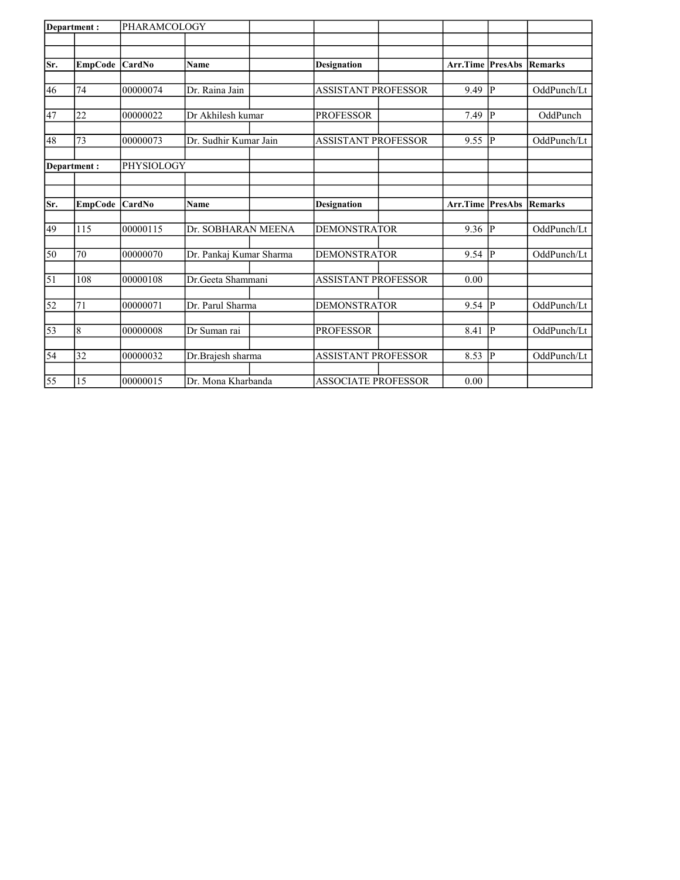| Department: |                | PHARAMCOLOGY |                         |                            |          |                |                |
|-------------|----------------|--------------|-------------------------|----------------------------|----------|----------------|----------------|
|             |                |              |                         |                            |          |                |                |
| Sr.         | <b>EmpCode</b> | CardNo       | <b>Name</b>             | <b>Designation</b>         | Arr.Time | <b>PresAbs</b> | Remarks        |
|             |                |              |                         |                            |          |                |                |
| 46          | 74             | 00000074     | Dr. Raina Jain          | <b>ASSISTANT PROFESSOR</b> | 9.49     | $\mathsf{P}$   | OddPunch/Lt    |
| 47          | 22             | 00000022     | Dr Akhilesh kumar       | <b>PROFESSOR</b>           | 7.49     | P              | OddPunch       |
|             |                |              |                         |                            |          |                |                |
| 48          | 73             | 00000073     | Dr. Sudhir Kumar Jain   | <b>ASSISTANT PROFESSOR</b> | 9.55     | $\mathbf P$    | OddPunch/Lt    |
|             | Department:    | PHYSIOLOGY   |                         |                            |          |                |                |
|             |                |              |                         |                            |          |                |                |
| Sr.         | <b>EmpCode</b> | CardNo       | <b>Name</b>             | <b>Designation</b>         | Arr.Time | PresAbs        | <b>Remarks</b> |
| 49          | 115            | 00000115     | Dr. SOBHARAN MEENA      | <b>DEMONSTRATOR</b>        | 9.36     | $\mathbf{P}$   | OddPunch/Lt    |
|             |                |              |                         |                            |          |                |                |
| 50          | 70             | 00000070     | Dr. Pankaj Kumar Sharma | <b>DEMONSTRATOR</b>        | 9.54     | $\mathbf{P}$   | OddPunch/Lt    |
| $\vert$ 51  | 108            | 00000108     | Dr.Geeta Shammani       | <b>ASSISTANT PROFESSOR</b> | 0.00     |                |                |
|             |                |              |                         |                            |          |                |                |
| 52          | 71             | 00000071     | Dr. Parul Sharma        | <b>DEMONSTRATOR</b>        | 9.54     | $\mathsf{P}$   | OddPunch/Lt    |
| 53          | 8              | 00000008     | Dr Suman rai            | <b>PROFESSOR</b>           | 8.41     | P              | OddPunch/Lt    |
|             |                |              |                         |                            |          |                |                |
| 54          | 32             | 00000032     | Dr.Brajesh sharma       | <b>ASSISTANT PROFESSOR</b> | 8.53     | P              | OddPunch/Lt    |
| 55          | 15             | 00000015     | Dr. Mona Kharbanda      | <b>ASSOCIATE PROFESSOR</b> | 0.00     |                |                |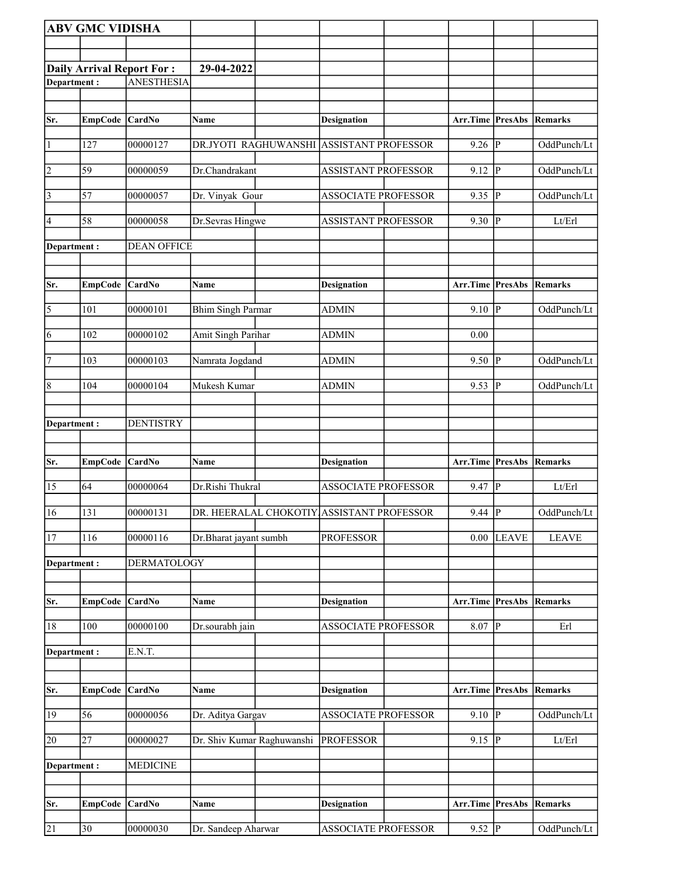|                 | <b>ABV GMC VIDISHA</b> |                                  |                            |                                           |                                 |                |              |
|-----------------|------------------------|----------------------------------|----------------------------|-------------------------------------------|---------------------------------|----------------|--------------|
|                 |                        |                                  |                            |                                           |                                 |                |              |
|                 |                        | <b>Daily Arrival Report For:</b> | 29-04-2022                 |                                           |                                 |                |              |
| Department:     |                        | <b>ANESTHESIA</b>                |                            |                                           |                                 |                |              |
|                 |                        |                                  |                            |                                           |                                 |                |              |
| Sr.             | <b>EmpCode</b>         | $\overline{\text{CardNo}}$       | Name                       | <b>Designation</b>                        | Arr.Time PresAbs                |                | Remarks      |
| $\vert$ 1       | 127                    | 00000127                         |                            | DR.JYOTI RAGHUWANSHI ASSISTANT PROFESSOR  | 9.26                            | $\overline{P}$ | OddPunch/Lt  |
| 2               | 59                     | 00000059                         | Dr.Chandrakant             | <b>ASSISTANT PROFESSOR</b>                | 9.12                            | ∣P             | OddPunch/Lt  |
| $\vert$ 3       | 57                     | 00000057                         | Dr. Vinyak Gour            | <b>ASSOCIATE PROFESSOR</b>                | 9.35                            | P              | OddPunch/Lt  |
| 4               | 58                     | 00000058                         | Dr.Sevras Hingwe           | <b>ASSISTANT PROFESSOR</b>                | 9.30                            | P              | Lt/Erl       |
| Department:     |                        | <b>DEAN OFFICE</b>               |                            |                                           |                                 |                |              |
| Sr.             |                        |                                  |                            |                                           |                                 |                |              |
|                 | EmpCode                | <b>CardNo</b>                    | Name                       | <b>Designation</b>                        | <b>Arr.Time PresAbs Remarks</b> |                |              |
| 5               | 101                    | 00000101                         | <b>Bhim Singh Parmar</b>   | <b>ADMIN</b>                              | 9.10                            | P              | OddPunch/Lt  |
| 6               | 102                    | 00000102                         | Amit Singh Parihar         | <b>ADMIN</b>                              | 0.00                            |                |              |
| 7               | 103                    | 00000103                         | Namrata Jogdand            | <b>ADMIN</b>                              | 9.50                            | P              | OddPunch/Lt  |
| 8               | 104                    | 00000104                         | Mukesh Kumar               | <b>ADMIN</b>                              | 9.53                            | $\overline{P}$ | OddPunch/Lt  |
| Department:     |                        | <b>DENTISTRY</b>                 |                            |                                           |                                 |                |              |
|                 |                        |                                  |                            |                                           |                                 |                |              |
| Sr.             | <b>EmpCode</b>         | CardNo                           | Name                       | Designation                               | Arr.Time PresAbs                |                | Remarks      |
| 15              | 64                     | 00000064                         | Dr.Rishi Thukral           | <b>ASSOCIATE PROFESSOR</b>                | 9.47                            | P              | Lt/Erl       |
| 16              | 131                    | 00000131                         |                            | DR. HEERALAL CHOKOTIY ASSISTANT PROFESSOR | $9.44$ P                        |                | OddPunch/Lt  |
| $\overline{17}$ | 116                    | 00000116                         | Dr.Bharat jayant sumbh     | <b>PROFESSOR</b>                          | 0.00                            | <b>LEAVE</b>   | <b>LEAVE</b> |
| Department:     |                        | <b>DERMATOLOGY</b>               |                            |                                           |                                 |                |              |
| Sr.             | <b>EmpCode</b>         | CardNo                           | Name                       | <b>Designation</b>                        | Arr.Time                        | <b>PresAbs</b> | Remarks      |
|                 |                        |                                  |                            |                                           |                                 |                |              |
| 18              | 100                    | 00000100                         | Dr.sourabh jain            | <b>ASSOCIATE PROFESSOR</b>                | 8.07                            | P              | Erl          |
| Department:     |                        | E.N.T.                           |                            |                                           |                                 |                |              |
| Sr.             | <b>EmpCode</b>         | CardNo                           | Name                       | <b>Designation</b>                        | Arr.Time PresAbs                |                | Remarks      |
| 19              | 56                     | 00000056                         | Dr. Aditya Gargav          | <b>ASSOCIATE PROFESSOR</b>                | $9.10$ P                        |                | OddPunch/Lt  |
| 20              | $\overline{27}$        | 00000027                         | Dr. Shiv Kumar Raghuwanshi | <b>PROFESSOR</b>                          | 9.15                            | ∣P             | Lt/Erl       |
| Department:     |                        | <b>MEDICINE</b>                  |                            |                                           |                                 |                |              |
|                 |                        |                                  |                            |                                           |                                 |                |              |
| Sr.             | <b>EmpCode</b>         | CardNo                           | Name                       | <b>Designation</b>                        | Arr.Time PresAbs                |                | Remarks      |
| $\overline{21}$ | 30                     | 00000030                         | Dr. Sandeep Aharwar        | <b>ASSOCIATE PROFESSOR</b>                | $9.52$ $ \overline{P} $         |                | OddPunch/Lt  |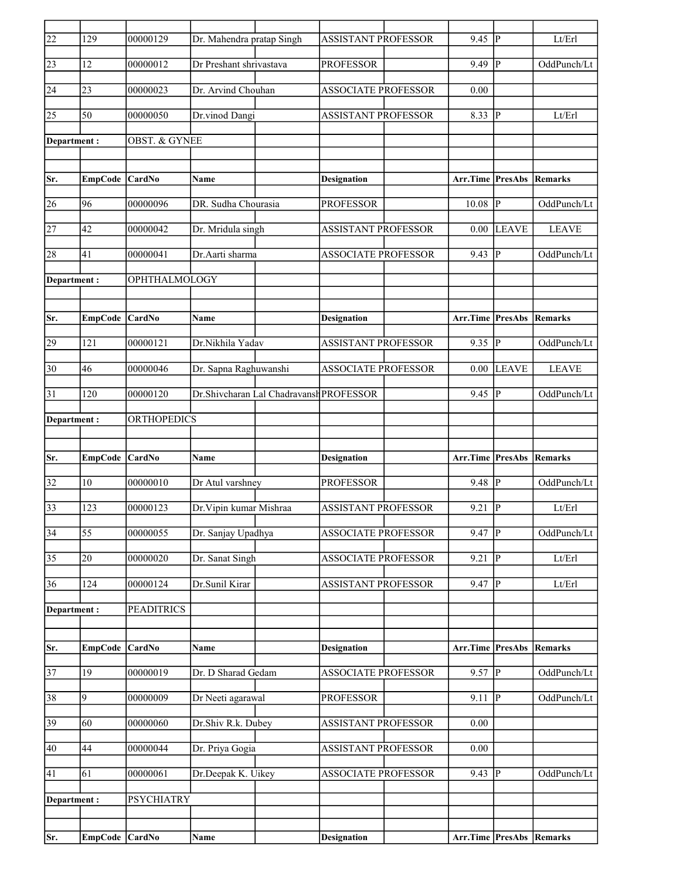| $\overline{22}$ | 129             | 00000129                 | Dr. Mahendra pratap Singh |                                         | <b>ASSISTANT PROFESSOR</b> | 9.45                            | lР             | Lt/Erl                     |
|-----------------|-----------------|--------------------------|---------------------------|-----------------------------------------|----------------------------|---------------------------------|----------------|----------------------------|
| 23              | <sup>12</sup>   | 00000012                 | Dr Preshant shrivastava   |                                         | <b>PROFESSOR</b>           | 9.49                            | IР             | OddPunch/Lt                |
| 24              | 23              | 00000023                 | Dr. Arvind Chouhan        |                                         | <b>ASSOCIATE PROFESSOR</b> | 0.00                            |                |                            |
| 25              | 50              | 00000050                 | Dr.vinod Dangi            |                                         | <b>ASSISTANT PROFESSOR</b> | 8.33                            | lР             | Lt/Erl                     |
| Department :    |                 | <b>OBST. &amp; GYNEE</b> |                           |                                         |                            |                                 |                |                            |
|                 |                 |                          |                           |                                         |                            |                                 |                |                            |
| Sr.             | <b>EmpCode</b>  | <b>CardNo</b>            | <b>Name</b>               |                                         | <b>Designation</b>         | Arr.Time PresAbs                |                | Remarks                    |
| 26              | 96              | 00000096                 | DR. Sudha Chourasia       |                                         | <b>PROFESSOR</b>           | 10.08                           | P              | OddPunch/Lt                |
| 27              | 42              | 00000042                 | Dr. Mridula singh         |                                         | <b>ASSISTANT PROFESSOR</b> | 0.00                            | <b>LEAVE</b>   | <b>LEAVE</b>               |
| 28              | 41              | 00000041                 | Dr. Aarti sharma          |                                         | <b>ASSOCIATE PROFESSOR</b> | 9.43                            | P              | OddPunch/Lt                |
| Department:     |                 | OPHTHALMOLOGY            |                           |                                         |                            |                                 |                |                            |
|                 |                 |                          |                           |                                         |                            |                                 |                |                            |
| Sr.             | EmpCode         | CardNo                   | <b>Name</b>               |                                         | <b>Designation</b>         | Arr.Time                        | <b>PresAbs</b> | Remarks                    |
| 29              | 121             | 00000121                 | Dr.Nikhila Yadav          |                                         | ASSISTANT PROFESSOR        | 9.35                            | ∣P             | OddPunch/Lt                |
| 30              | 46              | 00000046                 | Dr. Sapna Raghuwanshi     |                                         | <b>ASSOCIATE PROFESSOR</b> | 0.00                            | <b>LEAVE</b>   | <b>LEAVE</b>               |
| $\overline{31}$ | 120             | 00000120                 |                           | Dr.Shivcharan Lal Chadravansh PROFESSOR |                            | 9.45                            | P              | OddPunch/Lt                |
| Department :    |                 | ORTHOPEDICS              |                           |                                         |                            |                                 |                |                            |
|                 |                 |                          |                           |                                         |                            |                                 |                |                            |
| Sr.             | EmpCode CardNo  |                          | Name                      |                                         | <b>Designation</b>         | <b>Arr.Time PresAbs Remarks</b> |                |                            |
| 32              | 10              | 00000010                 | Dr Atul varshney          |                                         | <b>PROFESSOR</b>           | 9.48                            | $\mathbf{P}$   | OddPunch/Lt                |
| 33              | 123             | 00000123                 | Dr. Vipin kumar Mishraa   |                                         | <b>ASSISTANT PROFESSOR</b> | 9.21                            | lР             | Lt/Erl                     |
| $\overline{34}$ | $\overline{55}$ | 000000055                | Dr. Sanjay Upadhya        |                                         | <b>ASSOCIATE PROFESSOR</b> | 9.47                            | $\overline{P}$ | OddPunch/Lt                |
| 35              | 20              | 00000020                 | Dr. Sanat Singh           |                                         | <b>ASSOCIATE PROFESSOR</b> | 9.21                            | <sup> </sup> P | Lt/Erl                     |
| 36              | 124             | 00000124                 | Dr.Sunil Kirar            |                                         | <b>ASSISTANT PROFESSOR</b> | 9.47                            | P              | $\mathbf{Lt}/\mathbf{Erl}$ |
| Department:     |                 | <b>PEADITRICS</b>        |                           |                                         |                            |                                 |                |                            |
|                 |                 |                          |                           |                                         |                            |                                 |                |                            |
| Sr.             | <b>EmpCode</b>  | CardNo                   | Name                      |                                         | <b>Designation</b>         | Arr.Time PresAbs                |                | Remarks                    |
| $\overline{37}$ | 19              | 00000019                 | Dr. D Sharad Gedam        |                                         | <b>ASSOCIATE PROFESSOR</b> | 9.57                            | $\overline{P}$ | OddPunch/Lt                |
| 38              | 9               | 00000009                 | Dr Neeti agarawal         |                                         | <b>PROFESSOR</b>           | 9.11                            | P              | OddPunch/Lt                |
| 39              | 60              | 00000060                 | Dr.Shiv R.k. Dubey        |                                         | <b>ASSISTANT PROFESSOR</b> | 0.00                            |                |                            |
| 40              | 44              | 00000044                 | Dr. Priya Gogia           |                                         | <b>ASSISTANT PROFESSOR</b> | 0.00                            |                |                            |
| 41              | 61              | 00000061                 | Dr.Deepak K. Uikey        |                                         | <b>ASSOCIATE PROFESSOR</b> | 9.43 $ \overline{P} $           |                | OddPunch/Lt                |
|                 |                 |                          |                           |                                         |                            |                                 |                |                            |
|                 |                 |                          |                           |                                         |                            |                                 |                |                            |
|                 | Department :    | <b>PSYCHIATRY</b>        |                           |                                         |                            |                                 |                |                            |
| Sr.             | EmpCode CardNo  |                          | Name                      |                                         | <b>Designation</b>         | Arr.Time PresAbs Remarks        |                |                            |